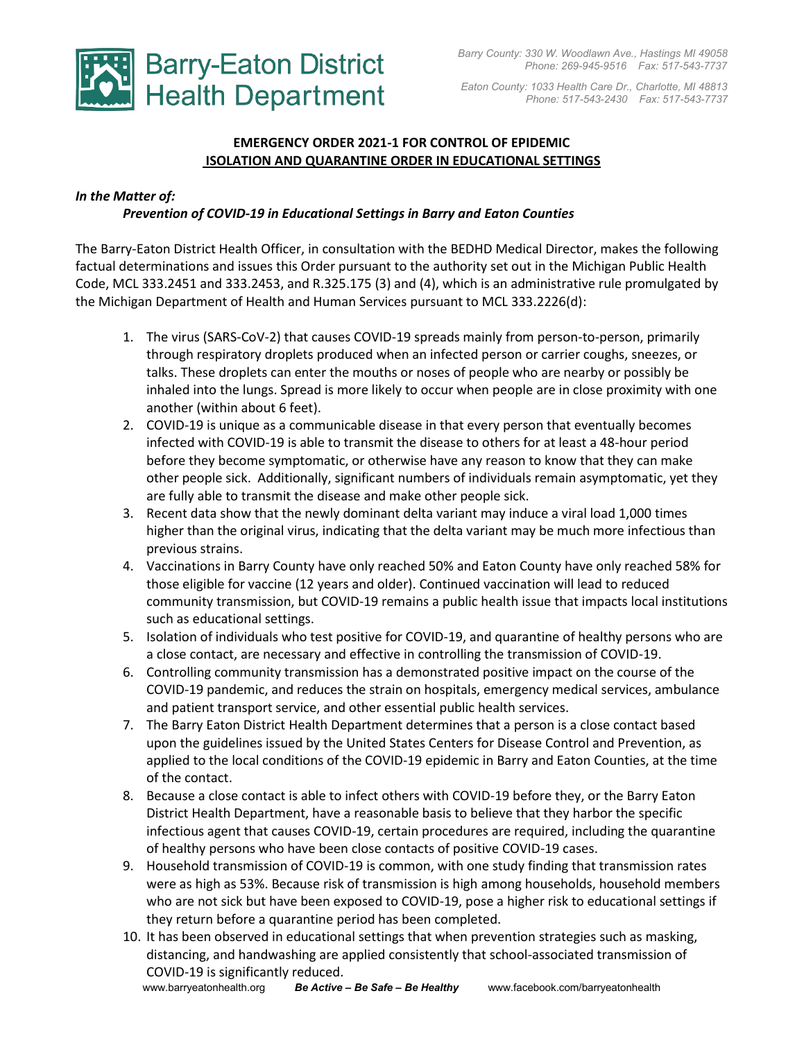

 *Eaton County: 1033 Health Care Dr., Charlotte, MI 48813 Phone: 517-543-2430 Fax: 517-543-7737*

## **EMERGENCY ORDER 2021-1 FOR CONTROL OF EPIDEMIC ISOLATION AND QUARANTINE ORDER IN EDUCATIONAL SETTINGS**

### *In the Matter of:*

### *Prevention of COVID-19 in Educational Settings in Barry and Eaton Counties*

The Barry-Eaton District Health Officer, in consultation with the BEDHD Medical Director, makes the following factual determinations and issues this Order pursuant to the authority set out in the Michigan Public Health Code, MCL 333.2451 and 333.2453, and R.325.175 (3) and (4), which is an administrative rule promulgated by the Michigan Department of Health and Human Services pursuant to MCL 333.2226(d):

- 1. The virus (SARS-CoV-2) that causes COVID-19 spreads mainly from person-to-person, primarily through respiratory droplets produced when an infected person or carrier coughs, sneezes, or talks. These droplets can enter the mouths or noses of people who are nearby or possibly be inhaled into the lungs. Spread is more likely to occur when people are in close proximity with one another (within about 6 feet).
- 2. COVID-19 is unique as a communicable disease in that every person that eventually becomes infected with COVID-19 is able to transmit the disease to others for at least a 48-hour period before they become symptomatic, or otherwise have any reason to know that they can make other people sick. Additionally, significant numbers of individuals remain asymptomatic, yet they are fully able to transmit the disease and make other people sick.
- 3. Recent data show that the newly dominant delta variant may induce a viral load 1,000 times higher than the original virus, indicating that the delta variant may be much more infectious than previous strains.
- 4. Vaccinations in Barry County have only reached 50% and Eaton County have only reached 58% for those eligible for vaccine (12 years and older). Continued vaccination will lead to reduced community transmission, but COVID-19 remains a public health issue that impacts local institutions such as educational settings.
- 5. Isolation of individuals who test positive for COVID-19, and quarantine of healthy persons who are a close contact, are necessary and effective in controlling the transmission of COVID-19.
- 6. Controlling community transmission has a demonstrated positive impact on the course of the COVID-19 pandemic, and reduces the strain on hospitals, emergency medical services, ambulance and patient transport service, and other essential public health services.
- 7. The Barry Eaton District Health Department determines that a person is a close contact based upon the guidelines issued by the United States Centers for Disease Control and Prevention, as applied to the local conditions of the COVID-19 epidemic in Barry and Eaton Counties, at the time of the contact.
- 8. Because a close contact is able to infect others with COVID-19 before they, or the Barry Eaton District Health Department, have a reasonable basis to believe that they harbor the specific infectious agent that causes COVID-19, certain procedures are required, including the quarantine of healthy persons who have been close contacts of positive COVID-19 cases.
- 9. Household transmission of COVID-19 is common, with one study finding that transmission rates were as high as 53%. Because risk of transmission is high among households, household members who are not sick but have been exposed to COVID-19, pose a higher risk to educational settings if they return before a quarantine period has been completed.
- 10. It has been observed in educational settings that when prevention strategies such as masking, distancing, and handwashing are applied consistently that school-associated transmission of COVID-19 is significantly reduced.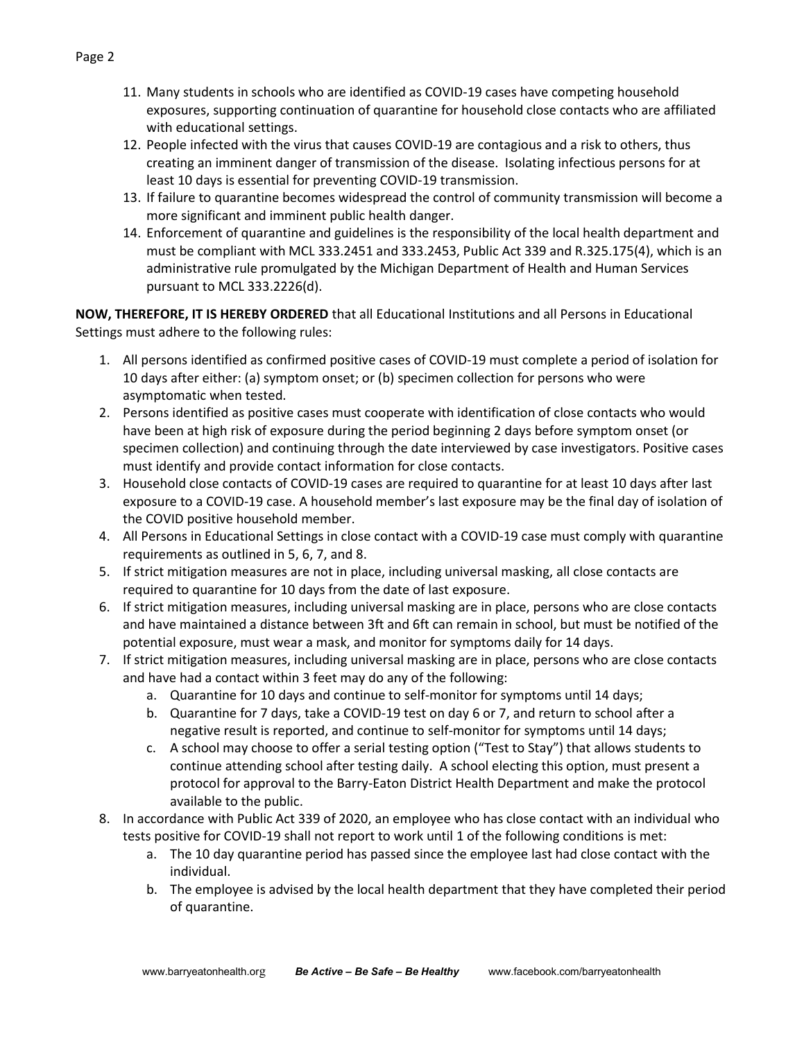- 11. Many students in schools who are identified as COVID-19 cases have competing household exposures, supporting continuation of quarantine for household close contacts who are affiliated with educational settings.
- 12. People infected with the virus that causes COVID-19 are contagious and a risk to others, thus creating an imminent danger of transmission of the disease. Isolating infectious persons for at least 10 days is essential for preventing COVID-19 transmission.
- 13. If failure to quarantine becomes widespread the control of community transmission will become a more significant and imminent public health danger.
- 14. Enforcement of quarantine and guidelines is the responsibility of the local health department and must be compliant with MCL 333.2451 and 333.2453, Public Act 339 and R.325.175(4), which is an administrative rule promulgated by the Michigan Department of Health and Human Services pursuant to MCL 333.2226(d).

**NOW, THEREFORE, IT IS HEREBY ORDERED** that all Educational Institutions and all Persons in Educational Settings must adhere to the following rules:

- 1. All persons identified as confirmed positive cases of COVID-19 must complete a period of isolation for 10 days after either: (a) symptom onset; or (b) specimen collection for persons who were asymptomatic when tested.
- 2. Persons identified as positive cases must cooperate with identification of close contacts who would have been at high risk of exposure during the period beginning 2 days before symptom onset (or specimen collection) and continuing through the date interviewed by case investigators. Positive cases must identify and provide contact information for close contacts.
- 3. Household close contacts of COVID-19 cases are required to quarantine for at least 10 days after last exposure to a COVID-19 case. A household member's last exposure may be the final day of isolation of the COVID positive household member.
- 4. All Persons in Educational Settings in close contact with a COVID-19 case must comply with quarantine requirements as outlined in 5, 6, 7, and 8.
- 5. If strict mitigation measures are not in place, including universal masking, all close contacts are required to quarantine for 10 days from the date of last exposure.
- 6. If strict mitigation measures, including universal masking are in place, persons who are close contacts and have maintained a distance between 3ft and 6ft can remain in school, but must be notified of the potential exposure, must wear a mask, and monitor for symptoms daily for 14 days.
- 7. If strict mitigation measures, including universal masking are in place, persons who are close contacts and have had a contact within 3 feet may do any of the following:
	- a. Quarantine for 10 days and continue to self-monitor for symptoms until 14 days;
	- b. Quarantine for 7 days, take a COVID-19 test on day 6 or 7, and return to school after a negative result is reported, and continue to self-monitor for symptoms until 14 days;
	- c. A school may choose to offer a serial testing option ("Test to Stay") that allows students to continue attending school after testing daily. A school electing this option, must present a protocol for approval to the Barry-Eaton District Health Department and make the protocol available to the public.
- 8. In accordance with Public Act 339 of 2020, an employee who has close contact with an individual who tests positive for COVID-19 shall not report to work until 1 of the following conditions is met:
	- a. The 10 day quarantine period has passed since the employee last had close contact with the individual.
	- b. The employee is advised by the local health department that they have completed their period of quarantine.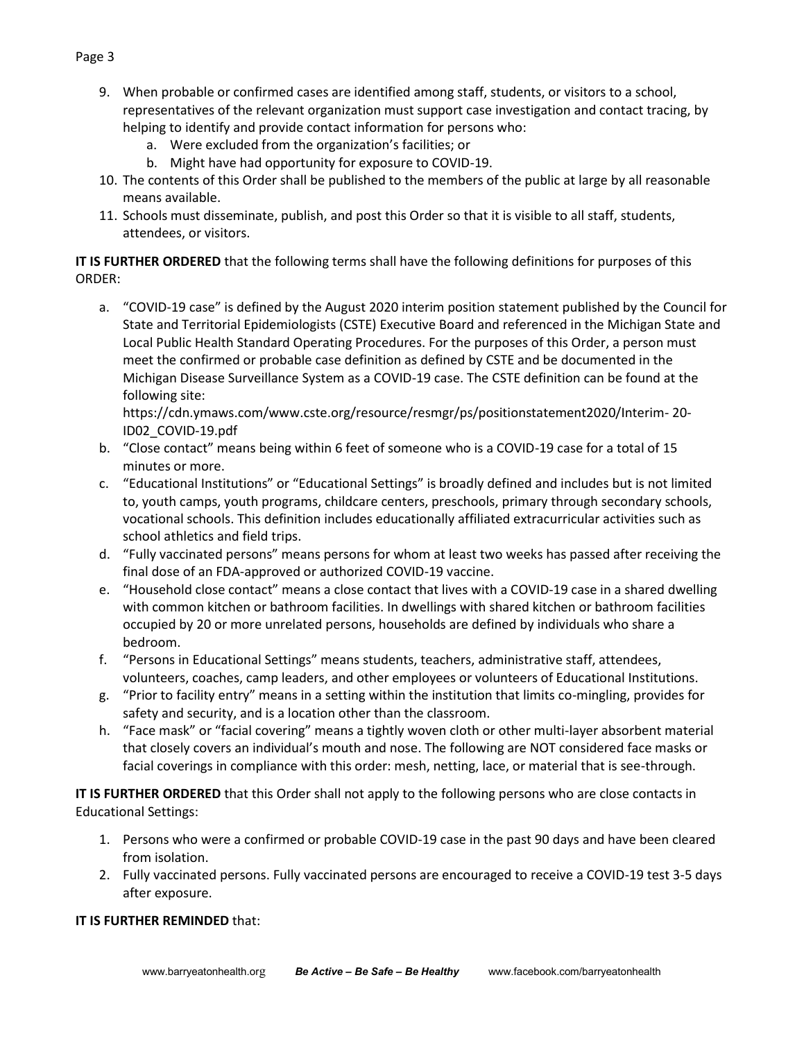- 9. When probable or confirmed cases are identified among staff, students, or visitors to a school, representatives of the relevant organization must support case investigation and contact tracing, by helping to identify and provide contact information for persons who:
	- a. Were excluded from the organization's facilities; or
	- b. Might have had opportunity for exposure to COVID-19.
- 10. The contents of this Order shall be published to the members of the public at large by all reasonable means available.
- 11. Schools must disseminate, publish, and post this Order so that it is visible to all staff, students, attendees, or visitors.

**IT IS FURTHER ORDERED** that the following terms shall have the following definitions for purposes of this ORDER:

a. "COVID-19 case" is defined by the August 2020 interim position statement published by the Council for State and Territorial Epidemiologists (CSTE) Executive Board and referenced in the Michigan State and Local Public Health Standard Operating Procedures. For the purposes of this Order, a person must meet the confirmed or probable case definition as defined by CSTE and be documented in the Michigan Disease Surveillance System as a COVID-19 case. The CSTE definition can be found at the following site:

https://cdn.ymaws.com/www.cste.org/resource/resmgr/ps/positionstatement2020/Interim- 20- ID02\_COVID-19.pdf

- b. "Close contact" means being within 6 feet of someone who is a COVID-19 case for a total of 15 minutes or more.
- c. "Educational Institutions" or "Educational Settings" is broadly defined and includes but is not limited to, youth camps, youth programs, childcare centers, preschools, primary through secondary schools, vocational schools. This definition includes educationally affiliated extracurricular activities such as school athletics and field trips.
- d. "Fully vaccinated persons" means persons for whom at least two weeks has passed after receiving the final dose of an FDA-approved or authorized COVID-19 vaccine.
- e. "Household close contact" means a close contact that lives with a COVID-19 case in a shared dwelling with common kitchen or bathroom facilities. In dwellings with shared kitchen or bathroom facilities occupied by 20 or more unrelated persons, households are defined by individuals who share a bedroom.
- f. "Persons in Educational Settings" means students, teachers, administrative staff, attendees, volunteers, coaches, camp leaders, and other employees or volunteers of Educational Institutions.
- g. "Prior to facility entry" means in a setting within the institution that limits co-mingling, provides for safety and security, and is a location other than the classroom.
- h. "Face mask" or "facial covering" means a tightly woven cloth or other multi-layer absorbent material that closely covers an individual's mouth and nose. The following are NOT considered face masks or facial coverings in compliance with this order: mesh, netting, lace, or material that is see-through.

**IT IS FURTHER ORDERED** that this Order shall not apply to the following persons who are close contacts in Educational Settings:

- 1. Persons who were a confirmed or probable COVID-19 case in the past 90 days and have been cleared from isolation.
- 2. Fully vaccinated persons. Fully vaccinated persons are encouraged to receive a COVID-19 test 3-5 days after exposure.

### **IT IS FURTHER REMINDED** that:

# Page 3